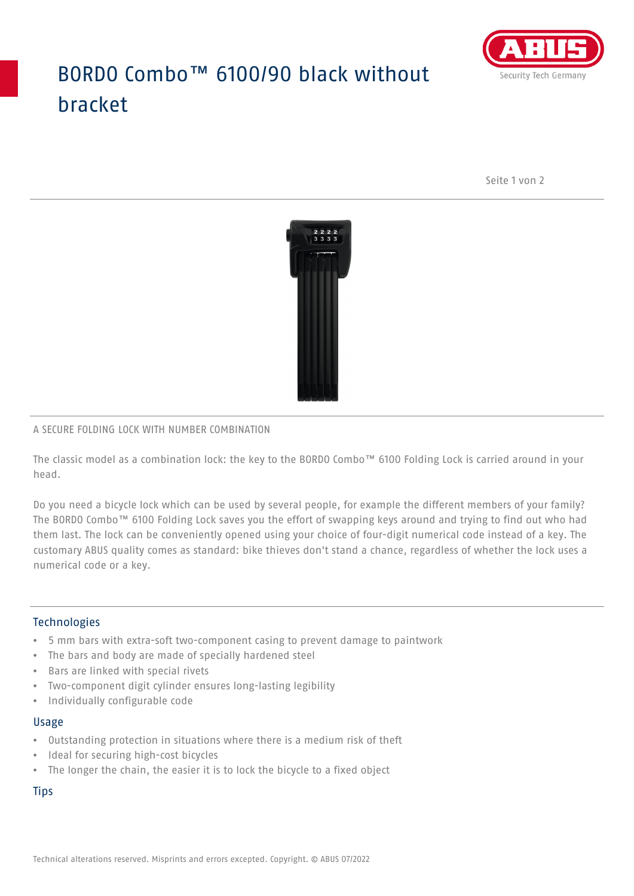## BORDO Combo™ 6100/90 black without bracket



Seite 1 von 2



#### A SECURE FOLDING LOCK WITH NUMBER COMBINATION

The classic model as a combination lock: the key to the BORDO Combo™ 6100 Folding Lock is carried around in your head.

Do you need a bicycle lock which can be used by several people, for example the different members of your family? The BORDO Combo™ 6100 Folding Lock saves you the effort of swapping keys around and trying to find out who had them last. The lock can be conveniently opened using your choice of four-digit numerical code instead of a key. The customary ABUS quality comes as standard: bike thieves don't stand a chance, regardless of whether the lock uses a numerical code or a key.

### Technologies

- 5 mm bars with extra-soft two-component casing to prevent damage to paintwork
- The bars and body are made of specially hardened steel
- Bars are linked with special rivets
- Two-component digit cylinder ensures long-lasting legibility
- Individually configurable code

#### Usage

- Outstanding protection in situations where there is a medium risk of theft
- Ideal for securing high-cost bicycles
- The longer the chain, the easier it is to lock the bicycle to a fixed object

**Tips**